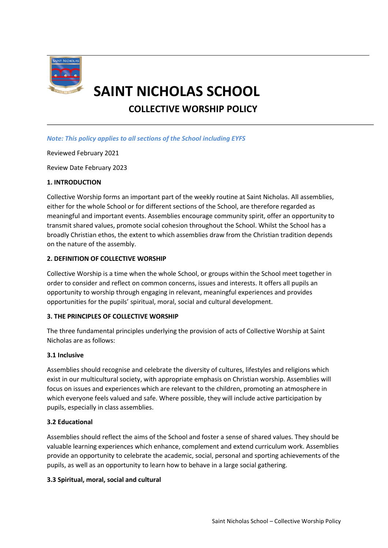

# **SAINT NICHOLAS SCHOOL**

**COLLECTIVE WORSHIP POLICY**

# *Note: This policy applies to all sections of the School including EYFS*

Reviewed February 2021

Review Date February 2023

## **1. INTRODUCTION**

Collective Worship forms an important part of the weekly routine at Saint Nicholas. All assemblies, either for the whole School or for different sections of the School, are therefore regarded as meaningful and important events. Assemblies encourage community spirit, offer an opportunity to transmit shared values, promote social cohesion throughout the School. Whilst the School has a broadly Christian ethos, the extent to which assemblies draw from the Christian tradition depends on the nature of the assembly.

## **2. DEFINITION OF COLLECTIVE WORSHIP**

Collective Worship is a time when the whole School, or groups within the School meet together in order to consider and reflect on common concerns, issues and interests. It offers all pupils an opportunity to worship through engaging in relevant, meaningful experiences and provides opportunities for the pupils' spiritual, moral, social and cultural development.

# **3. THE PRINCIPLES OF COLLECTIVE WORSHIP**

The three fundamental principles underlying the provision of acts of Collective Worship at Saint Nicholas are as follows:

### **3.1 Inclusive**

Assemblies should recognise and celebrate the diversity of cultures, lifestyles and religions which exist in our multicultural society, with appropriate emphasis on Christian worship. Assemblies will focus on issues and experiences which are relevant to the children, promoting an atmosphere in which everyone feels valued and safe. Where possible, they will include active participation by pupils, especially in class assemblies.

### **3.2 Educational**

Assemblies should reflect the aims of the School and foster a sense of shared values. They should be valuable learning experiences which enhance, complement and extend curriculum work. Assemblies provide an opportunity to celebrate the academic, social, personal and sporting achievements of the pupils, as well as an opportunity to learn how to behave in a large social gathering.

### **3.3 Spiritual, moral, social and cultural**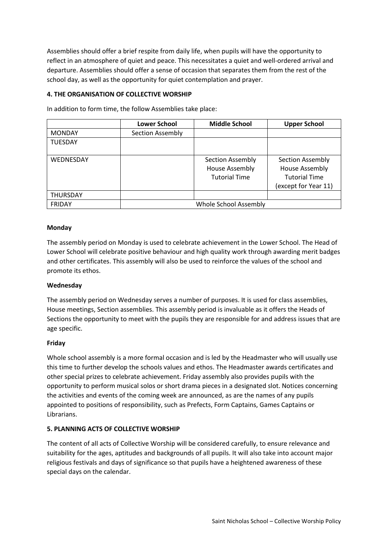Assemblies should offer a brief respite from daily life, when pupils will have the opportunity to reflect in an atmosphere of quiet and peace. This necessitates a quiet and well-ordered arrival and departure. Assemblies should offer a sense of occasion that separates them from the rest of the school day, as well as the opportunity for quiet contemplation and prayer.

## **4. THE ORGANISATION OF COLLECTIVE WORSHIP**

|                  | <b>Lower School</b>          | <b>Middle School</b>                                              | <b>Upper School</b>                                                                              |
|------------------|------------------------------|-------------------------------------------------------------------|--------------------------------------------------------------------------------------------------|
| <b>MONDAY</b>    | Section Assembly             |                                                                   |                                                                                                  |
| <b>TUESDAY</b>   |                              |                                                                   |                                                                                                  |
| <b>WEDNESDAY</b> |                              | Section Assembly<br><b>House Assembly</b><br><b>Tutorial Time</b> | <b>Section Assembly</b><br><b>House Assembly</b><br><b>Tutorial Time</b><br>(except for Year 11) |
| <b>THURSDAY</b>  |                              |                                                                   |                                                                                                  |
| <b>FRIDAY</b>    | <b>Whole School Assembly</b> |                                                                   |                                                                                                  |

In addition to form time, the follow Assemblies take place:

## **Monday**

The assembly period on Monday is used to celebrate achievement in the Lower School. The Head of Lower School will celebrate positive behaviour and high quality work through awarding merit badges and other certificates. This assembly will also be used to reinforce the values of the school and promote its ethos.

### **Wednesday**

The assembly period on Wednesday serves a number of purposes. It is used for class assemblies, House meetings, Section assemblies. This assembly period is invaluable as it offers the Heads of Sections the opportunity to meet with the pupils they are responsible for and address issues that are age specific.

### **Friday**

Whole school assembly is a more formal occasion and is led by the Headmaster who will usually use this time to further develop the schools values and ethos. The Headmaster awards certificates and other special prizes to celebrate achievement. Friday assembly also provides pupils with the opportunity to perform musical solos or short drama pieces in a designated slot. Notices concerning the activities and events of the coming week are announced, as are the names of any pupils appointed to positions of responsibility, such as Prefects, Form Captains, Games Captains or Librarians.

### **5. PLANNING ACTS OF COLLECTIVE WORSHIP**

The content of all acts of Collective Worship will be considered carefully, to ensure relevance and suitability for the ages, aptitudes and backgrounds of all pupils. It will also take into account major religious festivals and days of significance so that pupils have a heightened awareness of these special days on the calendar.